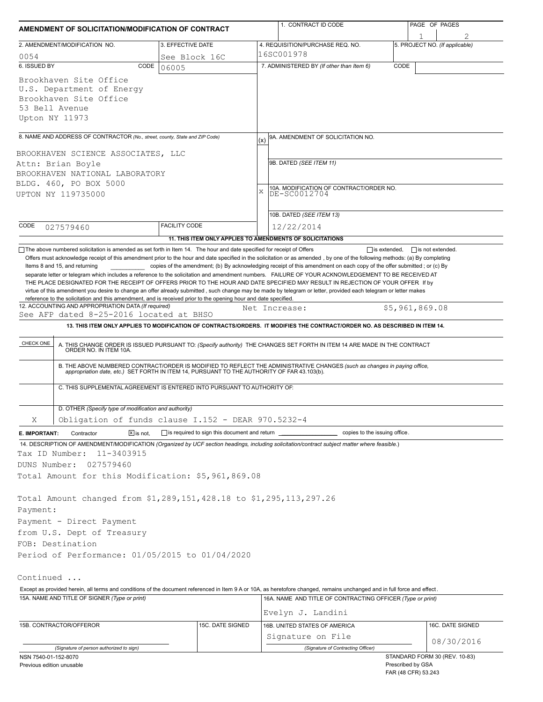| AMENDMENT OF SOLICITATION/MODIFICATION OF CONTRACT                                                                                                                                                                                                                                                                                                                                                                                                                                                                                                                                                                                                                             |                              |                                                                          |     | 1. CONTRACT ID CODE                                                                                                                                                                                                   |      |                                     | PAGE OF PAGES    |  |  |
|--------------------------------------------------------------------------------------------------------------------------------------------------------------------------------------------------------------------------------------------------------------------------------------------------------------------------------------------------------------------------------------------------------------------------------------------------------------------------------------------------------------------------------------------------------------------------------------------------------------------------------------------------------------------------------|------------------------------|--------------------------------------------------------------------------|-----|-----------------------------------------------------------------------------------------------------------------------------------------------------------------------------------------------------------------------|------|-------------------------------------|------------------|--|--|
| 2. AMENDMENT/MODIFICATION NO.                                                                                                                                                                                                                                                                                                                                                                                                                                                                                                                                                                                                                                                  |                              | 3. EFFECTIVE DATE                                                        |     | 4. REQUISITION/PURCHASE REQ. NO.                                                                                                                                                                                      |      | 1<br>5. PROJECT NO. (If applicable) |                  |  |  |
| 0054                                                                                                                                                                                                                                                                                                                                                                                                                                                                                                                                                                                                                                                                           |                              | See Block 16C                                                            |     | 16SC001978                                                                                                                                                                                                            |      |                                     |                  |  |  |
| 6. ISSUED BY                                                                                                                                                                                                                                                                                                                                                                                                                                                                                                                                                                                                                                                                   | CODE                         | 06005                                                                    |     | 7. ADMINISTERED BY (If other than Item 6)                                                                                                                                                                             | CODE |                                     |                  |  |  |
| Brookhaven Site Office<br>U.S. Department of Energy<br>Brookhaven Site Office<br>53 Bell Avenue<br>Upton NY 11973                                                                                                                                                                                                                                                                                                                                                                                                                                                                                                                                                              |                              |                                                                          |     |                                                                                                                                                                                                                       |      |                                     |                  |  |  |
| 8. NAME AND ADDRESS OF CONTRACTOR (No., street, county, State and ZIP Code)                                                                                                                                                                                                                                                                                                                                                                                                                                                                                                                                                                                                    |                              |                                                                          | (x) | 9A. AMENDMENT OF SOLICITATION NO.                                                                                                                                                                                     |      |                                     |                  |  |  |
| BROOKHAVEN SCIENCE ASSOCIATES, LLC<br>Attn: Brian Boyle<br>BROOKHAVEN NATIONAL LABORATORY<br>BLDG. 460, PO BOX 5000<br>UPTON NY 119735000                                                                                                                                                                                                                                                                                                                                                                                                                                                                                                                                      |                              |                                                                          | X   | 9B. DATED (SEE ITEM 11)<br>10A. MODIFICATION OF CONTRACT/ORDER NO.<br>DE-SC0012704                                                                                                                                    |      |                                     |                  |  |  |
|                                                                                                                                                                                                                                                                                                                                                                                                                                                                                                                                                                                                                                                                                |                              |                                                                          |     |                                                                                                                                                                                                                       |      |                                     |                  |  |  |
|                                                                                                                                                                                                                                                                                                                                                                                                                                                                                                                                                                                                                                                                                |                              |                                                                          |     | 10B. DATED (SEE ITEM 13)                                                                                                                                                                                              |      |                                     |                  |  |  |
| CODE<br>027579460                                                                                                                                                                                                                                                                                                                                                                                                                                                                                                                                                                                                                                                              |                              | <b>FACILITY CODE</b>                                                     |     | 12/22/2014                                                                                                                                                                                                            |      |                                     |                  |  |  |
|                                                                                                                                                                                                                                                                                                                                                                                                                                                                                                                                                                                                                                                                                |                              | 11. THIS ITEM ONLY APPLIES TO AMENDMENTS OF SOLICITATIONS                |     |                                                                                                                                                                                                                       |      |                                     |                  |  |  |
| separate letter or telegram which includes a reference to the solicitation and amendment numbers. FAILURE OF YOUR ACKNOWLEDGEMENT TO BE RECEIVED AT<br>THE PLACE DESIGNATED FOR THE RECEIPT OF OFFERS PRIOR TO THE HOUR AND DATE SPECIFIED MAY RESULT IN REJECTION OF YOUR OFFER If by<br>virtue of this amendment you desire to change an offer already submitted, such change may be made by telegram or letter, provided each telegram or letter makes<br>reference to the solicitation and this amendment, and is received prior to the opening hour and date specified.<br>12. ACCOUNTING AND APPROPRIATION DATA (If required)<br>See AFP dated 8-25-2016 located at BHSO |                              |                                                                          |     | Net Increase:                                                                                                                                                                                                         |      | \$5,961,869.08                      |                  |  |  |
|                                                                                                                                                                                                                                                                                                                                                                                                                                                                                                                                                                                                                                                                                |                              |                                                                          |     | 13. THIS ITEM ONLY APPLIES TO MODIFICATION OF CONTRACTS/ORDERS. IT MODIFIES THE CONTRACT/ORDER NO. AS DESCRIBED IN ITEM 14.                                                                                           |      |                                     |                  |  |  |
|                                                                                                                                                                                                                                                                                                                                                                                                                                                                                                                                                                                                                                                                                |                              |                                                                          |     |                                                                                                                                                                                                                       |      |                                     |                  |  |  |
| CHECK ONE                                                                                                                                                                                                                                                                                                                                                                                                                                                                                                                                                                                                                                                                      |                              |                                                                          |     | A. THIS CHANGE ORDER IS ISSUED PURSUANT TO: (Specify authority) THE CHANGES SET FORTH IN ITEM 14 ARE MADE IN THE CONTRACT ORDER NO. IN ITEM 10A.                                                                      |      |                                     |                  |  |  |
|                                                                                                                                                                                                                                                                                                                                                                                                                                                                                                                                                                                                                                                                                |                              |                                                                          |     | B. THE ABOVE NUMBERED CONTRACT/ORDER IS MODIFIED TO REFLECT THE ADMINISTRATIVE CHANGES (such as changes in paying office, appropriation date, etc.) SET FORTH IN ITEM 14, PURSUANT TO THE AUTHORITY OF FAR 43.103(b). |      |                                     |                  |  |  |
|                                                                                                                                                                                                                                                                                                                                                                                                                                                                                                                                                                                                                                                                                |                              | C. THIS SUPPLEMENTAL AGREEMENT IS ENTERED INTO PURSUANT TO AUTHORITY OF: |     |                                                                                                                                                                                                                       |      |                                     |                  |  |  |
| D. OTHER (Specify type of modification and authority)                                                                                                                                                                                                                                                                                                                                                                                                                                                                                                                                                                                                                          |                              |                                                                          |     |                                                                                                                                                                                                                       |      |                                     |                  |  |  |
| Χ                                                                                                                                                                                                                                                                                                                                                                                                                                                                                                                                                                                                                                                                              |                              | Obligation of funds clause I.152 - DEAR 970.5232-4                       |     |                                                                                                                                                                                                                       |      |                                     |                  |  |  |
| Contractor<br>E. IMPORTANT:                                                                                                                                                                                                                                                                                                                                                                                                                                                                                                                                                                                                                                                    | $\boxed{\mathsf{X}}$ is not. | is required to sign this document and return ______                      |     | copies to the issuing office.                                                                                                                                                                                         |      |                                     |                  |  |  |
| 14. DESCRIPTION OF AMENDMENT/MODIFICATION (Organized by UCF section headings, including solicitation/contract subject matter where feasible.)<br>Tax ID Number:<br>11-3403915<br>DUNS Number:<br>027579460                                                                                                                                                                                                                                                                                                                                                                                                                                                                     |                              |                                                                          |     |                                                                                                                                                                                                                       |      |                                     |                  |  |  |
| Total Amount for this Modification: \$5,961,869.08                                                                                                                                                                                                                                                                                                                                                                                                                                                                                                                                                                                                                             |                              |                                                                          |     |                                                                                                                                                                                                                       |      |                                     |                  |  |  |
| Total Amount changed from \$1,289,151,428.18 to \$1,295,113,297.26<br>Payment:<br>Payment - Direct Payment                                                                                                                                                                                                                                                                                                                                                                                                                                                                                                                                                                     |                              |                                                                          |     |                                                                                                                                                                                                                       |      |                                     |                  |  |  |
| from U.S. Dept of Treasury                                                                                                                                                                                                                                                                                                                                                                                                                                                                                                                                                                                                                                                     |                              |                                                                          |     |                                                                                                                                                                                                                       |      |                                     |                  |  |  |
| FOB: Destination                                                                                                                                                                                                                                                                                                                                                                                                                                                                                                                                                                                                                                                               |                              |                                                                          |     |                                                                                                                                                                                                                       |      |                                     |                  |  |  |
| Period of Performance: 01/05/2015 to 01/04/2020                                                                                                                                                                                                                                                                                                                                                                                                                                                                                                                                                                                                                                |                              |                                                                          |     |                                                                                                                                                                                                                       |      |                                     |                  |  |  |
| Continued                                                                                                                                                                                                                                                                                                                                                                                                                                                                                                                                                                                                                                                                      |                              |                                                                          |     |                                                                                                                                                                                                                       |      |                                     |                  |  |  |
| Except as provided herein, all terms and conditions of the document referenced in Item 9 A or 10A, as heretofore changed, remains unchanged and in full force and effect.                                                                                                                                                                                                                                                                                                                                                                                                                                                                                                      |                              |                                                                          |     |                                                                                                                                                                                                                       |      |                                     |                  |  |  |
| 15A. NAME AND TITLE OF SIGNER (Type or print)                                                                                                                                                                                                                                                                                                                                                                                                                                                                                                                                                                                                                                  |                              |                                                                          |     | 16A. NAME AND TITLE OF CONTRACTING OFFICER (Type or print)<br>Evelyn J. Landini                                                                                                                                       |      |                                     |                  |  |  |
| 15B. CONTRACTOR/OFFEROR                                                                                                                                                                                                                                                                                                                                                                                                                                                                                                                                                                                                                                                        |                              | 15C. DATE SIGNED                                                         |     | 16B. UNITED STATES OF AMERICA                                                                                                                                                                                         |      |                                     | 16C. DATE SIGNED |  |  |
|                                                                                                                                                                                                                                                                                                                                                                                                                                                                                                                                                                                                                                                                                |                              |                                                                          |     | Signature on File                                                                                                                                                                                                     |      |                                     |                  |  |  |
| (Signature of person authorized to sign)                                                                                                                                                                                                                                                                                                                                                                                                                                                                                                                                                                                                                                       |                              |                                                                          |     | (Signature of Contracting Officer)                                                                                                                                                                                    |      |                                     | 08/30/2016       |  |  |
| NSN 7540-01-152-8070                                                                                                                                                                                                                                                                                                                                                                                                                                                                                                                                                                                                                                                           |                              |                                                                          |     |                                                                                                                                                                                                                       |      | STANDARD FORM 30 (REV. 10-83)       |                  |  |  |
| Previous edition unusable                                                                                                                                                                                                                                                                                                                                                                                                                                                                                                                                                                                                                                                      |                              |                                                                          |     |                                                                                                                                                                                                                       |      | Prescribed by GSA                   |                  |  |  |